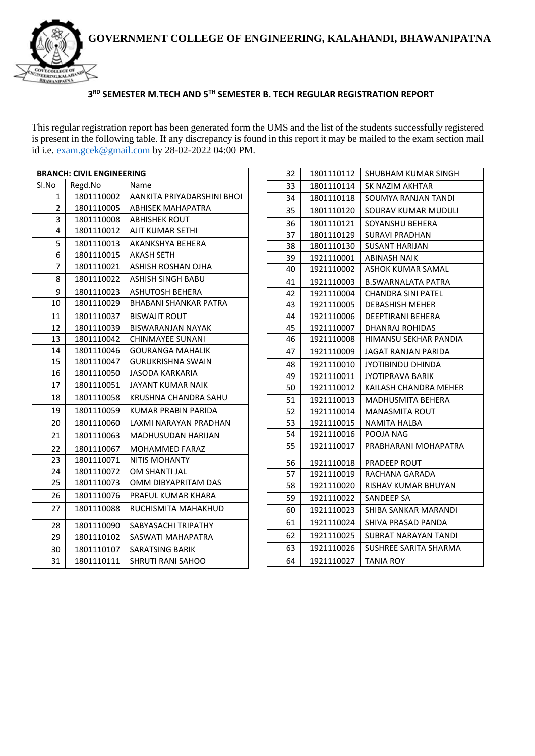

#### **RD SEMESTER M.TECH AND 5TH SEMESTER B. TECH REGULAR REGISTRATION REPORT**

This regular registration report has been generated form the UMS and the list of the students successfully registered is present in the following table. If any discrepancy is found in this report it may be mailed to the exam section mail id i.e. exam.gcek@gmail.com by 28-02-2022 04:00 PM.

| <b>BRANCH: CIVIL ENGINEERING</b> |            |                            |
|----------------------------------|------------|----------------------------|
| Sl.No                            | Regd.No    | Name                       |
| 1                                | 1801110002 | AANKITA PRIYADARSHINI BHOI |
| $\overline{2}$                   | 1801110005 | <b>ABHISEK MAHAPATRA</b>   |
| 3                                | 1801110008 | <b>ABHISHEK ROUT</b>       |
| 4                                | 1801110012 | AJIT KUMAR SETHI           |
| 5                                | 1801110013 | AKANKSHYA BEHERA           |
| 6                                | 1801110015 | <b>AKASH SETH</b>          |
| 7                                | 1801110021 | ASHISH ROSHAN OJHA         |
| 8                                | 1801110022 | ASHISH SINGH BABU          |
| 9                                | 1801110023 | <b>ASHUTOSH BEHERA</b>     |
| 10                               | 1801110029 | BHABANI SHANKAR PATRA      |
| 11                               | 1801110037 | <b>BISWAJIT ROUT</b>       |
| 12                               | 1801110039 | <b>BISWARANJAN NAYAK</b>   |
| 13                               | 1801110042 | <b>CHINMAYEE SUNANI</b>    |
| 14                               | 1801110046 | GOURANGA MAHALIK           |
| 15                               | 1801110047 | <b>GURUKRISHNA SWAIN</b>   |
| 16                               | 1801110050 | <b>JASODA KARKARIA</b>     |
| 17                               | 1801110051 | JAYANT KUMAR NAIK          |
| 18                               | 1801110058 | KRUSHNA CHANDRA SAHU       |
| 19                               | 1801110059 | KUMAR PRABIN PARIDA        |
| 20                               | 1801110060 | LAXMI NARAYAN PRADHAN      |
| 21                               | 1801110063 | MADHUSUDAN HARIJAN         |
| 22                               | 1801110067 | <b>MOHAMMED FARAZ</b>      |
| 23                               | 1801110071 | <b>NITIS MOHANTY</b>       |
| 24                               | 1801110072 | OM SHANTI JAL              |
| 25                               | 1801110073 | OMM DIBYAPRITAM DAS        |
| 26                               | 1801110076 | PRAFUL KUMAR KHARA         |
| 27                               | 1801110088 | RUCHISMITA MAHAKHUD        |
| 28                               | 1801110090 | SABYASACHI TRIPATHY        |
| 29                               | 1801110102 | SASWATI MAHAPATRA          |
| 30                               | 1801110107 | SARATSING BARIK            |
| 31                               | 1801110111 | SHRUTI RANI SAHOO          |

| 32 | 1801110112 | <b>SHUBHAM KUMAR SINGH</b> |
|----|------------|----------------------------|
| 33 | 1801110114 | SK NAZIM AKHTAR            |
| 34 | 1801110118 | SOUMYA RANJAN TANDI        |
| 35 | 1801110120 | SOURAV KUMAR MUDULI        |
| 36 | 1801110121 | SOYANSHU BEHERA            |
| 37 | 1801110129 | SURAVI PRADHAN             |
| 38 | 1801110130 | SUSANT HARIJAN             |
| 39 | 1921110001 | ABINASH NAIK               |
| 40 | 1921110002 | ASHOK KUMAR SAMAL          |
| 41 | 1921110003 | <b>B.SWARNALATA PATRA</b>  |
| 42 | 1921110004 | <b>CHANDRA SINI PATEL</b>  |
| 43 | 1921110005 | <b>DEBASHISH MEHER</b>     |
| 44 | 1921110006 | DEEPTIRANI BEHERA          |
| 45 | 1921110007 | DHANRAJ ROHIDAS            |
| 46 | 1921110008 | HIMANSU SEKHAR PANDIA      |
| 47 | 1921110009 | JAGAT RANJAN PARIDA        |
| 48 | 1921110010 | JYOTIBINDU DHINDA          |
| 49 | 1921110011 | <b>JYOTIPRAVA BARIK</b>    |
| 50 | 1921110012 | KAILASH CHANDRA MEHER      |
| 51 | 1921110013 | MADHUSMITA BEHERA          |
| 52 | 1921110014 | <b>MANASMITA ROUT</b>      |
| 53 | 1921110015 | NAMITA HALBA               |
| 54 | 1921110016 | POOJA NAG                  |
| 55 | 1921110017 | PRABHARANI MOHAPATRA       |
| 56 | 1921110018 | PRADEEP ROUT               |
| 57 | 1921110019 | RACHANA GARADA             |
| 58 | 1921110020 | RISHAV KUMAR BHUYAN        |
| 59 | 1921110022 | SANDEEP SA                 |
| 60 | 1921110023 | SHIBA SANKAR MARANDI       |
| 61 | 1921110024 | SHIVA PRASAD PANDA         |
| 62 | 1921110025 | SUBRAT NARAYAN TANDI       |
| 63 | 1921110026 | SUSHREE SARITA SHARMA      |
| 64 | 1921110027 | TANIA ROY                  |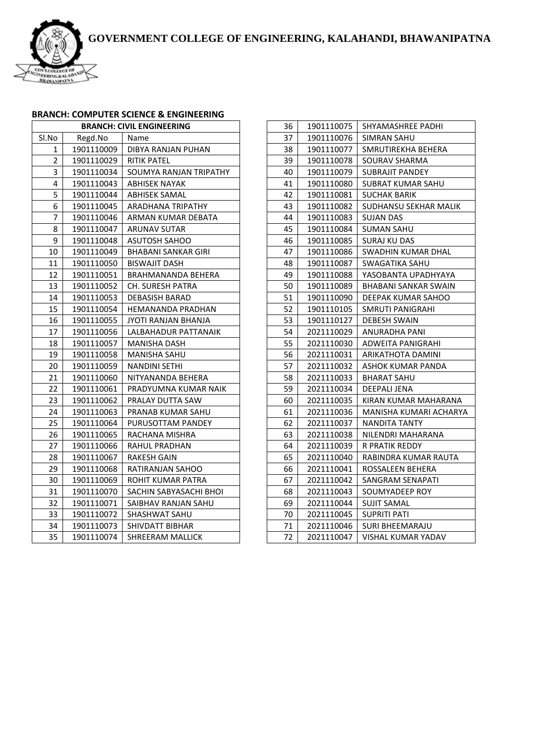

# **BRANCH: COMPUTER SCIENCE & ENGINEERING**

| <b>BRANCH: CIVIL ENGINEERING</b> |            |                           |
|----------------------------------|------------|---------------------------|
| Sl.No                            | Regd.No    | Name                      |
| 1                                | 1901110009 | <b>DIBYA RANJAN PUHAN</b> |
| 2                                | 1901110029 | <b>RITIK PATEL</b>        |
| 3                                | 1901110034 | SOUMYA RANJAN TRIPATHY    |
| 4                                | 1901110043 | <b>ABHISEK NAYAK</b>      |
| 5                                | 1901110044 | ABHISEK SAMAL             |
| 6                                | 1901110045 | ARADHANA TRIPATHY         |
| 7                                | 1901110046 | ARMAN KUMAR DEBATA        |
| 8                                | 1901110047 | <b>ARUNAV SUTAR</b>       |
| 9                                | 1901110048 | <b>ASUTOSH SAHOO</b>      |
| 10                               | 1901110049 | BHABANI SANKAR GIRI       |
| 11                               | 1901110050 | <b>BISWAJIT DASH</b>      |
| 12                               | 1901110051 | BRAHMANANDA BEHERA        |
| 13                               | 1901110052 | CH. SURESH PATRA          |
| 14                               | 1901110053 | DEBASISH BARAD            |
| 15                               | 1901110054 | HEMANANDA PRADHAN         |
| 16                               | 1901110055 | JYOTI RANJAN BHANJA       |
| 17                               | 1901110056 | LALBAHADUR PATTANAIK      |
| 18                               | 1901110057 | MANISHA DASH              |
| 19                               | 1901110058 | MANISHA SAHU              |
| 20                               | 1901110059 | <b>NANDINI SETHI</b>      |
| 21                               | 1901110060 | NITYANANDA BEHERA         |
| 22                               | 1901110061 | PRADYUMNA KUMAR NAIK      |
| 23                               | 1901110062 | PRALAY DUTTA SAW          |
| 24                               | 1901110063 | PRANAB KUMAR SAHU         |
| 25                               | 1901110064 | PURUSOTTAM PANDEY         |
| 26                               | 1901110065 | RACHANA MISHRA            |
| 27                               | 1901110066 | RAHUL PRADHAN             |
| 28                               | 1901110067 | RAKESH GAIN               |
| 29                               | 1901110068 | RATIRANJAN SAHOO          |
| 30                               | 1901110069 | ROHIT KUMAR PATRA         |
| 31                               | 1901110070 | SACHIN SABYASACHI BHOI    |
| 32                               | 1901110071 | SAIBHAV RANJAN SAHU       |
| 33                               | 1901110072 | SHASHWAT SAHU             |
| 34                               | 1901110073 | SHIVDATT BIBHAR           |
| 35                               | 1901110074 | SHREERAM MALLICK          |
|                                  |            |                           |

| 36 | 1901110075 | SHYAMASHREE PADHI         |
|----|------------|---------------------------|
| 37 | 1901110076 | SIMRAN SAHU               |
| 38 | 1901110077 | SMRUTIREKHA BEHERA        |
| 39 | 1901110078 | SOURAV SHARMA             |
| 40 | 1901110079 | <b>SUBRAJIT PANDEY</b>    |
| 41 | 1901110080 | SUBRAT KUMAR SAHU         |
| 42 | 1901110081 | SUCHAK BARIK              |
| 43 | 1901110082 | SUDHANSU SEKHAR MALIK     |
| 44 | 1901110083 | SUJAN DAS                 |
| 45 | 1901110084 | SUMAN SAHU                |
| 46 | 1901110085 | SURAJ KU DAS              |
| 47 | 1901110086 | SWADHIN KUMAR DHAL        |
| 48 | 1901110087 | SWAGATIKA SAHU            |
| 49 | 1901110088 | YASOBANTA UPADHYAYA       |
| 50 | 1901110089 | BHABANI SANKAR SWAIN      |
| 51 | 1901110090 | DEEPAK KUMAR SAHOO        |
| 52 | 1901110105 | SMRUTI PANIGRAHI          |
| 53 | 1901110127 | DEBESH SWAIN              |
| 54 | 2021110029 | ANURADHA PANI             |
| 55 | 2021110030 | ADWEITA PANIGRAHI         |
| 56 | 2021110031 | ARIKATHOTA DAMINI         |
| 57 | 2021110032 | ASHOK KUMAR PANDA         |
| 58 | 2021110033 | BHARAT SAHU               |
| 59 | 2021110034 | DEEPALI JENA              |
| 60 | 2021110035 | KIRAN KUMAR MAHARANA      |
| 61 | 2021110036 | MANISHA KUMARI ACHARYA    |
| 62 | 2021110037 | <b>NANDITA TANTY</b>      |
| 63 | 2021110038 | NILENDRI MAHARANA         |
| 64 | 2021110039 | R PRATIK REDDY            |
| 65 | 2021110040 | RABINDRA KUMAR RAUTA      |
| 66 | 2021110041 | ROSSALEEN BEHERA          |
| 67 | 2021110042 | SANGRAM SENAPATI          |
| 68 | 2021110043 | SOUMYADEEP ROY            |
| 69 | 2021110044 | SUJIT SAMAL               |
| 70 | 2021110045 | SUPRITI PATI              |
| 71 | 2021110046 | <b>SURI BHEEMARAJU</b>    |
| 72 | 2021110047 | <b>VISHAL KUMAR YADAV</b> |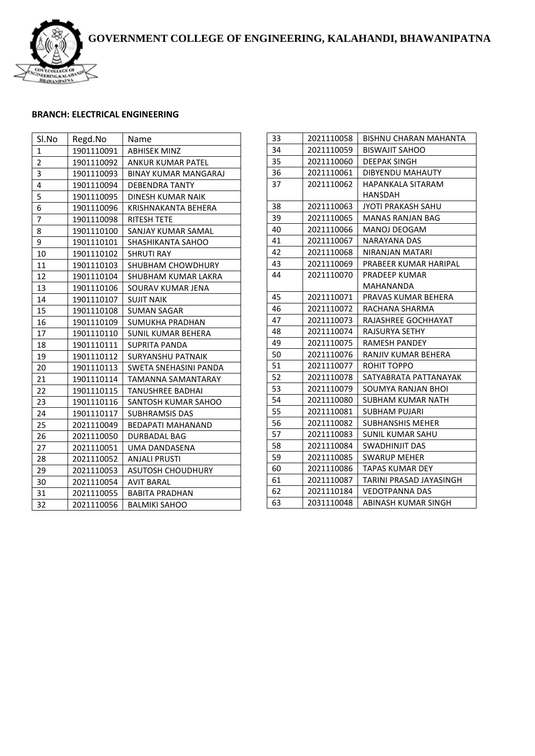

### **BRANCH: ELECTRICAL ENGINEERING**

| Sl.No        | Regd.No    | Name                        |
|--------------|------------|-----------------------------|
| $\mathbf{1}$ | 1901110091 | <b>ABHISEK MINZ</b>         |
| 2            | 1901110092 | <b>ANKUR KUMAR PATEL</b>    |
| 3            | 1901110093 | <b>BINAY KUMAR MANGARAJ</b> |
| 4            | 1901110094 | <b>DEBENDRA TANTY</b>       |
| 5            | 1901110095 | <b>DINESH KUMAR NAIK</b>    |
| 6            | 1901110096 | KRISHNAKANTA BEHERA         |
| 7            | 1901110098 | RITESH TETE                 |
| 8            | 1901110100 | SANJAY KUMAR SAMAL          |
| 9            | 1901110101 | SHASHIKANTA SAHOO           |
| 10           | 1901110102 | <b>SHRUTI RAY</b>           |
| 11           | 1901110103 | SHUBHAM CHOWDHURY           |
| 12           | 1901110104 | SHUBHAM KUMAR LAKRA         |
| 13           | 1901110106 | SOURAV KUMAR JENA           |
| 14           | 1901110107 | <b>SUJIT NAIK</b>           |
| 15           | 1901110108 | <b>SUMAN SAGAR</b>          |
| 16           | 1901110109 | SUMUKHA PRADHAN             |
| 17           | 1901110110 | SUNIL KUMAR BEHERA          |
| 18           | 1901110111 | <b>SUPRITA PANDA</b>        |
| 19           | 1901110112 | <b>SURYANSHU PATNAIK</b>    |
| 20           | 1901110113 | SWETA SNEHASINI PANDA       |
| 21           | 1901110114 | TAMANNA SAMANTARAY          |
| 22           | 1901110115 | TANUSHREE BADHAI            |
| 23           | 1901110116 | SANTOSH KUMAR SAHOO         |
| 24           | 1901110117 | <b>SUBHRAMSIS DAS</b>       |
| 25           | 2021110049 | <b>BEDAPATI MAHANAND</b>    |
| 26           | 2021110050 | <b>DURBADAL BAG</b>         |
| 27           | 2021110051 | UMA DANDASENA               |
| 28           | 2021110052 | <b>ANJALI PRUSTI</b>        |
| 29           | 2021110053 | <b>ASUTOSH CHOUDHURY</b>    |
| 30           | 2021110054 | <b>AVIT BARAL</b>           |
| 31           | 2021110055 | <b>BABITA PRADHAN</b>       |
| 32           | 2021110056 | <b>BALMIKI SAHOO</b>        |

| 33 | 2021110058 | BISHNU CHARAN MAHANTA     |
|----|------------|---------------------------|
| 34 | 2021110059 | <b>BISWAJIT SAHOO</b>     |
| 35 | 2021110060 | DEEPAK SINGH              |
| 36 | 2021110061 | DIBYENDU MAHAUTY          |
| 37 | 2021110062 | <b>HAPANKALA SITARAM</b>  |
|    |            | <b>HANSDAH</b>            |
| 38 | 2021110063 | <b>JYOTI PRAKASH SAHU</b> |
| 39 | 2021110065 | MANAS RANJAN BAG          |
| 40 | 2021110066 | MANOJ DEOGAM              |
| 41 | 2021110067 | <b>NARAYANA DAS</b>       |
| 42 | 2021110068 | NIRANJAN MATARI           |
| 43 | 2021110069 | PRABEER KUMAR HARIPAL     |
| 44 | 2021110070 | PRADEEP KUMAR             |
|    |            | <b>MAHANANDA</b>          |
| 45 | 2021110071 | PRAVAS KUMAR BEHERA       |
| 46 | 2021110072 | RACHANA SHARMA            |
| 47 | 2021110073 | RAJASHREE GOCHHAYAT       |
| 48 | 2021110074 | <b>RAJSURYA SETHY</b>     |
| 49 | 2021110075 | <b>RAMESH PANDEY</b>      |
| 50 | 2021110076 | RANJIV KUMAR BEHERA       |
| 51 | 2021110077 | ROHIT TOPPO               |
| 52 | 2021110078 | SATYABRATA PATTANAYAK     |
| 53 | 2021110079 | SOUMYA RANJAN BHOI        |
| 54 | 2021110080 | SUBHAM KUMAR NATH         |
| 55 | 2021110081 | SUBHAM PUJARI             |
| 56 | 2021110082 | <b>SUBHANSHIS MEHER</b>   |
| 57 | 2021110083 | SUNIL KUMAR SAHU          |
| 58 | 2021110084 | SWADHINJIT DAS            |
| 59 | 2021110085 | <b>SWARUP MEHER</b>       |
| 60 | 2021110086 | <b>TAPAS KUMAR DEY</b>    |
| 61 | 2021110087 | TARINI PRASAD JAYASINGH   |
| 62 | 2021110184 | <b>VEDOTPANNA DAS</b>     |
| 63 | 2031110048 | ABINASH KUMAR SINGH       |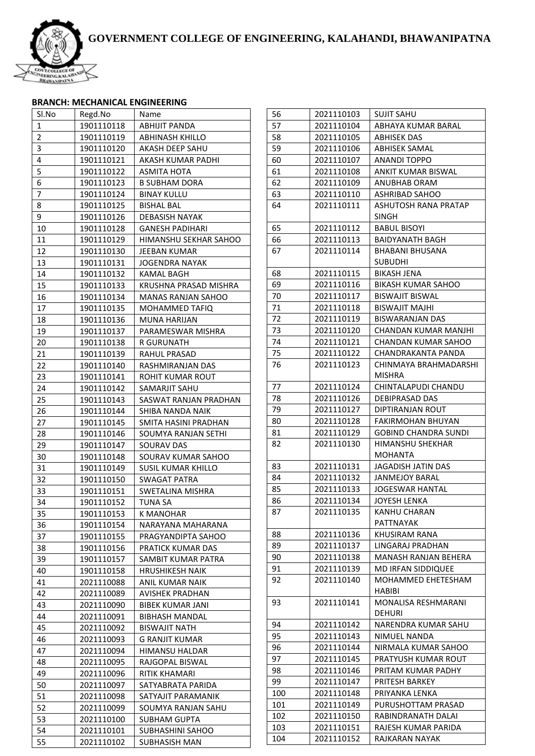

#### **BRANCH: MECHANICAL ENGINEERING**

| Sl.No          | Regd.No                  | Name                                   |
|----------------|--------------------------|----------------------------------------|
| 1              | 1901110118               | ABHIJIT PANDA                          |
| $\overline{2}$ | 1901110119               | <b>ABHINASH KHILLO</b>                 |
| 3              | 1901110120               | AKASH DEEP SAHU                        |
| 4              | 1901110121               | AKASH KUMAR PADHI                      |
| 5              | 1901110122               | ASMITA HOTA                            |
| 6              | 1901110123               | <b>B SUBHAM DORA</b>                   |
| 7              | 1901110124               | <b>BINAY KULLU</b>                     |
| 8              | 1901110125               | <b>BISHAL BAL</b>                      |
| 9              | 1901110126               | <b>DEBASISH NAYAK</b>                  |
| 10             | 1901110128               | <b>GANESH PADIHARI</b>                 |
| 11             | 1901110129               | HIMANSHU SEKHAR SAHOO                  |
| 12             | 1901110130               | JEEBAN KUMAR                           |
| 13             | 1901110131               | <b>JOGENDRA NAYAK</b>                  |
| 14             | 1901110132               | <b>KAMAL BAGH</b>                      |
| 15             | 1901110133               | KRUSHNA PRASAD MISHRA                  |
| 16             | 1901110134               | <b>MANAS RANJAN SAHOO</b>              |
| 17             | 1901110135               | MOHAMMED TAFIQ                         |
| 18             | 1901110136               | <b>MUNA HARIJAN</b>                    |
| 19             | 1901110137               | PARAMESWAR MISHRA                      |
| 20             | 1901110138               | R GURUNATH                             |
| 21             | 1901110139               | <b>RAHUL PRASAD</b>                    |
| 22             | 1901110140               | RASHMIRANJAN DAS                       |
| 23             | 1901110141               | ROHIT KUMAR ROUT                       |
| 24             | 1901110142               | SAMARJIT SAHU                          |
| 25             | 1901110143               | SASWAT RANJAN PRADHAN                  |
| 26             | 1901110144               | SHIBA NANDA NAIK                       |
| 27             | 1901110145               | SMITA HASINI PRADHAN                   |
| 28             | 1901110146               | SOUMYA RANJAN SETHI                    |
| 29             | 1901110147               | <b>SOURAV DAS</b>                      |
| 30             | 1901110148               | SOURAV KUMAR SAHOO                     |
| 31             | 1901110149               | SUSIL KUMAR KHILLO                     |
| 32             | 1901110150               | SWAGAT PATRA                           |
| 33             | 1901110151               | SWETALINA MISHRA                       |
| 34             | 1901110152               | TUNA SA                                |
| 35             | 1901110153               | <b>K MANOHAR</b>                       |
| 36             | 1901110154               | NARAYANA MAHARANA                      |
| 37             | 1901110155               | PRAGYANDIPTA SAHOO                     |
| 38             | 1901110156               | PRATICK KUMAR DAS                      |
| 39             | 1901110157               | SAMBIT KUMAR PATRA                     |
| 40             | 1901110158               | <b>HRUSHIKESH NAIK</b>                 |
| 41             | 2021110088               | <b>ANIL KUMAR NAIK</b>                 |
| 42             | 2021110089               | <b>AVISHEK PRADHAN</b>                 |
| 43             |                          | <b>BIBEK KUMAR JANI</b>                |
| 44             | 2021110090               |                                        |
|                | 2021110091<br>2021110092 | BIBHASH MANDAL<br><b>BISWAJIT NATH</b> |
| 45<br>46       |                          |                                        |
| 47             | 2021110093               | G RANJIT KUMAR                         |
|                | 2021110094               | HIMANSU HALDAR                         |
| 48             | 2021110095               | RAJGOPAL BISWAL                        |
| 49             | 2021110096               | RITIK KHAMARI                          |
| 50             | 2021110097               | SATYABRATA PARIDA                      |
| 51             | 2021110098               | SATYAJIT PARAMANIK                     |
| 52             | 2021110099               | SOUMYA RANJAN SAHU                     |
| 53             | 2021110100               | SUBHAM GUPTA                           |
| 54             | 2021110101               | SUBHASHINI SAHOO                       |
| 55             | 2021110102               | SUBHASISH MAN                          |

| 56  | 2021110103 | SUJIT SAHU                 |
|-----|------------|----------------------------|
| 57  | 2021110104 | ABHAYA KUMAR BARAL         |
| 58  | 2021110105 | <b>ABHISEK DAS</b>         |
| 59  | 2021110106 | ABHISEK SAMAL              |
| 60  | 2021110107 | ANANDI TOPPO               |
| 61  | 2021110108 | ANKIT KUMAR BISWAL         |
| 62  | 2021110109 | ANUBHAB ORAM               |
| 63  | 2021110110 | ASHRIBAD SAHOO             |
| 64  | 2021110111 | ASHUTOSH RANA PRATAP       |
|     |            | SINGH                      |
| 65  | 2021110112 | BABUL BISOYI               |
| 66  | 2021110113 | <b>BAIDYANATH BAGH</b>     |
| 67  | 2021110114 | BHABANI BHUSANA            |
|     |            | SUBUDHI                    |
| 68  | 2021110115 | BIKASH JENA                |
| 69  | 2021110116 | BIKASH KUMAR SAHOO         |
| 70  | 2021110117 | BISWAJIT BISWAL            |
| 71  | 2021110118 | BISWAJIT MAJHI             |
| 72  | 2021110119 | BISWARANJAN DAS            |
| 73  | 2021110120 | CHANDAN KUMAR MANJHI       |
| 74  | 2021110121 | <b>CHANDAN KUMAR SAHOO</b> |
| 75  | 2021110122 | CHANDRAKANTA PANDA         |
| 76  | 2021110123 | CHINMAYA BRAHMADARSHI      |
|     |            | MISHRA                     |
| 77  | 2021110124 | CHINTALAPUDI CHANDU        |
| 78  | 2021110126 | DEBIPRASAD DAS             |
| 79  | 2021110127 | DIPTIRANJAN ROUT           |
| 80  | 2021110128 | FAKIRMOHAN BHUYAN          |
| 81  | 2021110129 | GOBIND CHANDRA SUNDI       |
| 82  | 2021110130 | HIMANSHU SHEKHAR           |
|     |            | MOHANTA                    |
| 83  | 2021110131 | JAGADISH JATIN DAS         |
| 84  | 2021110132 | JANMEJOY BARAL             |
| 85  | 2021110133 | JOGESWAR HANTAL            |
| 86  | 2021110134 | JOYESH LENKA               |
| 87  | 2021110135 | KANHU CHARAN               |
|     |            | PATTNAYAK                  |
| 88  | 2021110136 | KHUSIRAM RANA              |
| 89  | 2021110137 | LINGARAJ PRADHAN           |
| 90  | 2021110138 | MANASH RANJAN BEHERA       |
| 91  | 2021110139 | <b>MD IRFAN SIDDIQUEE</b>  |
| 92  | 2021110140 | MOHAMMED EHETESHAM         |
|     |            | HABIBI                     |
| 93  | 2021110141 | MONALISA RESHMARANI        |
|     |            | DEHURI                     |
| 94  | 2021110142 | NARENDRA KUMAR SAHU        |
| 95  | 2021110143 | NIMUEL NANDA               |
| 96  | 2021110144 | NIRMALA KUMAR SAHOO        |
| 97  | 2021110145 | PRATYUSH KUMAR ROUT        |
| 98  | 2021110146 | PRITAM KUMAR PADHY         |
| 99  | 2021110147 | PRITESH BARKEY             |
| 100 | 2021110148 | PRIYANKA LENKA             |
| 101 | 2021110149 | PURUSHOTTAM PRASAD         |
| 102 | 2021110150 | RABINDRANATH DALAI         |
| 103 | 2021110151 | RAJESH KUMAR PARIDA        |
|     | 2021110152 | RAJKARAN NAYAK             |
| 104 |            |                            |